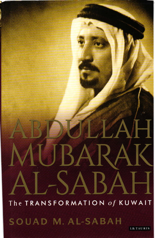# **DIGILIANEI** BANRAK **SARAE**

The TRANSFORMATION of KUWAIT

**SOUAD M. AL-SABAH** 

**I.B. TAURIS**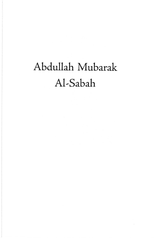## Abdullah Mubarak Al-Sabah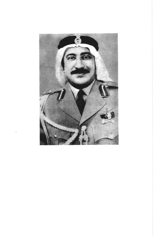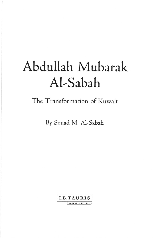## Abdullah Mubarak Al-Sabah

#### The Transformation of Kuwait

By Souad M. Al-Sabah

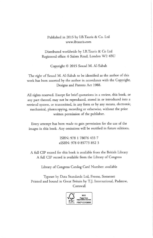#### Published in 2015 by I.B.Tauris & Co. Ltd www.ibtauris.com

Disributed worldwide by I.B.Tauris & Co Ltd Registered office: 6 Salem Road, London W2 4BU

Copyright @ 2015 Souad M. Al-Sabah

The right of Souad M, Al-Sabah to be identified as the author of this work has been asserted by the author in accordance with the Copyright, Designs and Patents Act 1988.

All rights reserved. Except for brief quotations in a review, this book, or any part thereof, may not be reproduced, stored in or introduced into a retrieval system, ot transmitted, in any form or by any means, electronic, mechanical, photocopying, recording or otherwise, without the prior written permission of the publishet.

Every attempt has been made to gain permission for the use of rhe images in this book. Any omissions will be rectified in future editions.

> ISBN: 978 1 78076 433 7 eISBN: 978 0 85773 852 3

A full CIP record for this book is available from the British Library A full CIP record is available from the Library of Congress

Library of Congress Catalog Card Number: available

Typeset by Data Standards Ltd, Frome, Somerset Printed and bound in Great Britain by T.J. International, Padstow, Cornwall

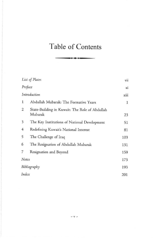### Table of Contents

سينتمث

| List of Plates |                                                           | vii          |
|----------------|-----------------------------------------------------------|--------------|
| Preface        |                                                           | xi           |
| Introduction   |                                                           | xiii         |
| 1              | Abdullah Mubarak: The Formative Years                     | $\mathbf{1}$ |
| $\overline{c}$ | State-Building in Kuwait: The Role of Abdullah<br>Mubarak | 23           |
| 3              | The Key Institutions of National Development              | 51           |
| 4              | Redefining Kuwait's National Interest                     | 81           |
| 5              | The Challenge of Iraq                                     | 103          |
| 6              | The Resignation of Abdullah Mubarak                       | 131          |
| 7              | Resignation and Beyond                                    | 159          |
| Notes          |                                                           | 173          |
| Bibliography   |                                                           | 193          |
| Index          |                                                           | 201          |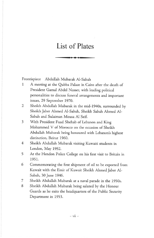#### List of Plates

Frontispiece Abdullah Mubarak Al-Sabah

- 1 A meeting at the Qubba Palace in Cairo after the death of President Gamal Abdel Nasser, with leading political personalities to discuss funeral arrangements and important issues, 29 September 1970.
- 2 Sheikh Abdullah Mubarak in the mid-1940s, surrounded by Sheikh Jaber Ahmed Al-Sabah, Sheikh Sabah Ahmed Al-Sabah and Sulaiman Mousa Al Seif.
- 3 With President Fuad Shehab of Lebanon and King Mohammed V of Morocco on the occasion of Sheikh Abdullah Mubarak being honoured with Lebanon's highest distinction, Beirut 1960.
- 4 Sheikh Abdullah Mubarak visiting Kuwairi studenrs in London, May 1952.
- 5 At the Hendon Police College on his first visit to Brirain in 1951.
- 6 Commemorating the first shipmenr of oil to be exported from Kuwait with the Emir of Kuwait Sheikh Ahmed Jaber Al-Sabah, 30 June 1946.
- 7 Sheikh Abdullah Mubarak at a naval parade in the 1950s.
- 8 Sheikh Abdullah Mubarak being saluted by the Honour Guards as he exits the headquarters of the Public Security Department in 1953.